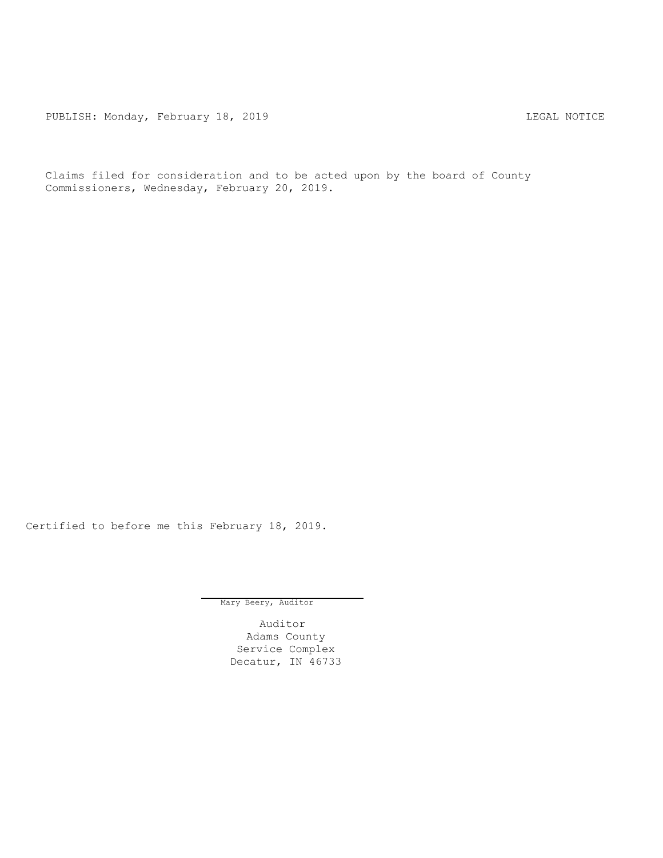PUBLISH: Monday, February 18, 2019 CHA CHANGE CONSTRUCTED THE LEGAL NOTICE

Claims filed for consideration and to be acted upon by the board of County Commissioners, Wednesday, February 20, 2019.

Certified to before me this February 18, 2019.

Mary Beery, Auditor

Auditor Adams County Service Complex Decatur, IN 46733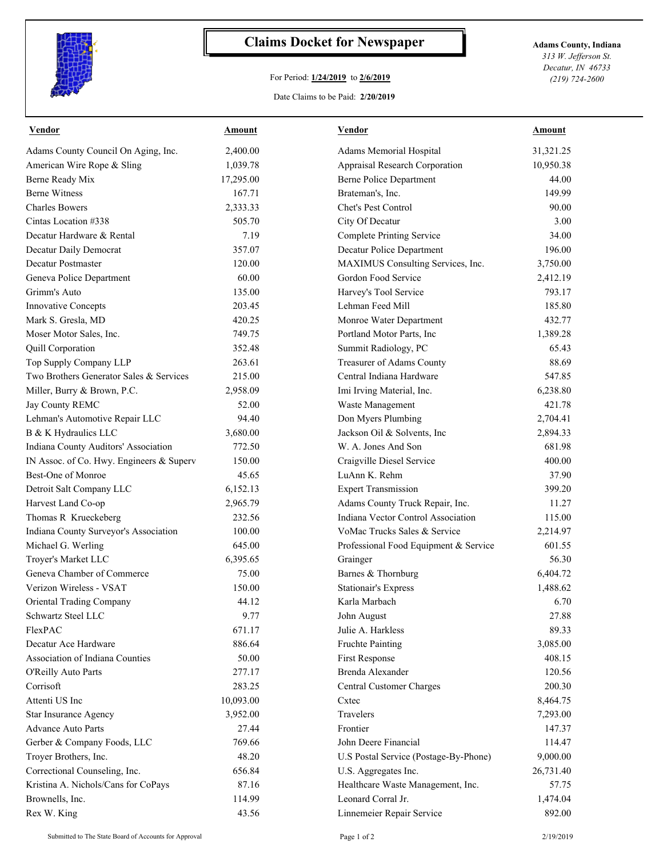

## **Claims Docket for Newspaper Adams County, Indiana**

## For Period: **1/24/2019** to **2/6/2019**

*313 W. Jefferson St. Decatur, IN 46733 (219) 724-2600*

## Date Claims to be Paid: **2/20/2019**

| Vendor                                   | Amount    | Vendor                                | Amount    |
|------------------------------------------|-----------|---------------------------------------|-----------|
| Adams County Council On Aging, Inc.      | 2,400.00  | Adams Memorial Hospital               | 31,321.25 |
| American Wire Rope & Sling               | 1,039.78  | Appraisal Research Corporation        | 10,950.38 |
| Berne Ready Mix                          | 17,295.00 | <b>Berne Police Department</b>        | 44.00     |
| <b>Berne Witness</b>                     | 167.71    | Brateman's, Inc.                      | 149.99    |
| <b>Charles Bowers</b>                    | 2,333.33  | Chet's Pest Control                   | 90.00     |
| Cintas Location #338                     | 505.70    | City Of Decatur                       | 3.00      |
| Decatur Hardware & Rental                | 7.19      | <b>Complete Printing Service</b>      | 34.00     |
| Decatur Daily Democrat                   | 357.07    | Decatur Police Department             | 196.00    |
| Decatur Postmaster                       | 120.00    | MAXIMUS Consulting Services, Inc.     | 3,750.00  |
| Geneva Police Department                 | 60.00     | Gordon Food Service                   | 2,412.19  |
| Grimm's Auto                             | 135.00    | Harvey's Tool Service                 | 793.17    |
| Innovative Concepts                      | 203.45    | Lehman Feed Mill                      | 185.80    |
| Mark S. Gresla, MD                       | 420.25    | Monroe Water Department               | 432.77    |
| Moser Motor Sales, Inc.                  | 749.75    | Portland Motor Parts, Inc             | 1,389.28  |
| Quill Corporation                        | 352.48    | Summit Radiology, PC                  | 65.43     |
| Top Supply Company LLP                   | 263.61    | Treasurer of Adams County             | 88.69     |
| Two Brothers Generator Sales & Services  | 215.00    | Central Indiana Hardware              | 547.85    |
| Miller, Burry & Brown, P.C.              | 2,958.09  | Imi Irving Material, Inc.             | 6,238.80  |
| Jay County REMC                          | 52.00     | Waste Management                      | 421.78    |
| Lehman's Automotive Repair LLC           | 94.40     | Don Myers Plumbing                    | 2,704.41  |
| B & K Hydraulics LLC                     | 3,680.00  | Jackson Oil & Solvents, Inc.          | 2,894.33  |
| Indiana County Auditors' Association     | 772.50    | W. A. Jones And Son                   | 681.98    |
| IN Assoc. of Co. Hwy. Engineers & Superv | 150.00    | Craigville Diesel Service             | 400.00    |
| Best-One of Monroe                       | 45.65     | LuAnn K. Rehm                         | 37.90     |
| Detroit Salt Company LLC                 | 6,152.13  | <b>Expert Transmission</b>            | 399.20    |
| Harvest Land Co-op                       | 2,965.79  | Adams County Truck Repair, Inc.       | 11.27     |
| Thomas R Krueckeberg                     | 232.56    | Indiana Vector Control Association    | 115.00    |
| Indiana County Surveyor's Association    | 100.00    | VoMac Trucks Sales & Service          | 2,214.97  |
| Michael G. Werling                       | 645.00    | Professional Food Equipment & Service | 601.55    |
| Troyer's Market LLC                      | 6,395.65  | Grainger                              | 56.30     |
| Geneva Chamber of Commerce               | 75.00     | Barnes & Thornburg                    | 6,404.72  |
| Verizon Wireless - VSAT                  | 150.00    | <b>Stationair's Express</b>           | 1,488.62  |
| Oriental Trading Company                 | 44.12     | Karla Marbach                         | 6.70      |
| Schwartz Steel LLC                       | 9.77      | John August                           | 27.88     |
| FlexPAC                                  | 671.17    | Julie A. Harkless                     | 89.33     |
| Decatur Ace Hardware                     | 886.64    | Fruchte Painting                      | 3,085.00  |
| Association of Indiana Counties          | 50.00     | First Response                        | 408.15    |
| O'Reilly Auto Parts                      | 277.17    | Brenda Alexander                      | 120.56    |
| Corrisoft                                | 283.25    | Central Customer Charges              | 200.30    |
| Attenti US Inc                           | 10,093.00 | Cxtec                                 | 8,464.75  |
| <b>Star Insurance Agency</b>             | 3,952.00  | Travelers                             | 7,293.00  |
| Advance Auto Parts                       | 27.44     | Frontier                              | 147.37    |
| Gerber & Company Foods, LLC              | 769.66    | John Deere Financial                  | 114.47    |
| Troyer Brothers, Inc.                    | 48.20     | U.S Postal Service (Postage-By-Phone) | 9,000.00  |
| Correctional Counseling, Inc.            | 656.84    | U.S. Aggregates Inc.                  | 26,731.40 |
| Kristina A. Nichols/Cans for CoPays      | 87.16     | Healthcare Waste Management, Inc.     | 57.75     |
| Brownells, Inc.                          | 114.99    | Leonard Corral Jr.                    | 1,474.04  |
| Rex W. King                              | 43.56     |                                       | 892.00    |
|                                          |           | Linnemeier Repair Service             |           |